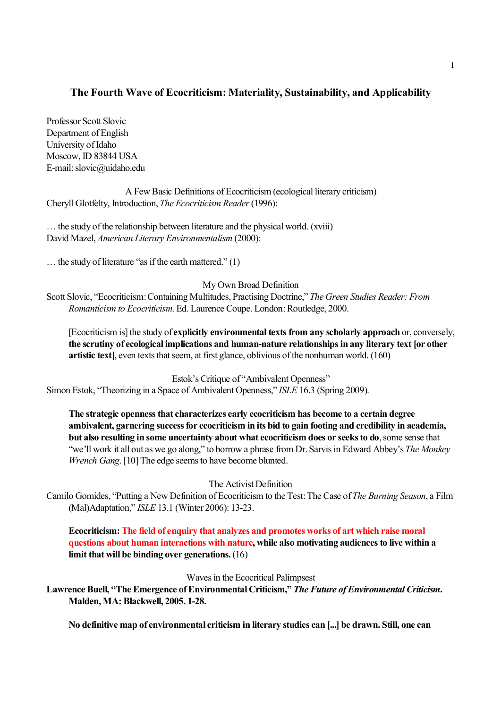# **The Fourth Wave of Ecocriticism: Materiality, Sustainability, and Applicability**

Professor Scott Slovic Department of English University of Idaho Moscow, ID 83844 USA E-mail: slovic@uidaho.edu

A Few Basic Definitions of Ecocriticism (ecological literary criticism) Cheryll Glotfelty, Introduction, *The Ecocriticism Reader*(1996):

… the study of the relationship between literature and the physical world. (xviii) David Mazel, *American Literary Environmentalism* (2000):

… the study of literature "as if the earth mattered." (1)

My Own Broad Definition

Scott Slovic, "Ecocriticism: Containing Multitudes, Practising Doctrine," *The Green Studies Reader: From Romanticism to Ecocriticism*. Ed. Laurence Coupe. London: Routledge, 2000.

[Ecocriticism is] the study of **explicitly environmental texts from any scholarly approach** or, conversely, **the scrutiny of ecological implications and human-nature relationships in any literary text [or other artistic text]**, even texts that seem, at first glance, oblivious of the nonhuman world. (160)

Estok's Critique of "Ambivalent Openness" Simon Estok, "Theorizing in a Space of Ambivalent Openness," *ISLE*16.3 (Spring 2009).

**The strategic openness that characterizes early ecocriticism has become to a certain degree ambivalent, garnering success for ecocriticism in its bid to gain footing and credibility in academia, but also resulting in some uncertainty about what ecocriticism does or seeks to do**, some sense that "we'll work it all out as we go along," to borrow a phrase from Dr. Sarvis in Edward Abbey's *The Monkey Wrench Gang*. [10] The edge seems to have become blunted.

The Activist Definition

Camilo Gomides, "Putting a New Definition of Ecocriticism to the Test: The Case of *The Burning Season*, a Film (Mal)Adaptation," *ISLE* 13.1 (Winter 2006): 13-23.

**Ecocriticism: The field of enquiry that analyzes and promotes works of art which raise moral questions about human interactions with nature, while also motivating audiences to live within a limit that will be binding over generations.**(16)

Waves in the Ecocritical Palimpsest

**Lawrence Buell, "The Emergence of Environmental Criticism,"** *The Future of Environmental Criticism***. Malden, MA: Blackwell, 2005. 1-28.**

**No definitive map of environmental criticism in literary studies can [...] be drawn. Still, one can**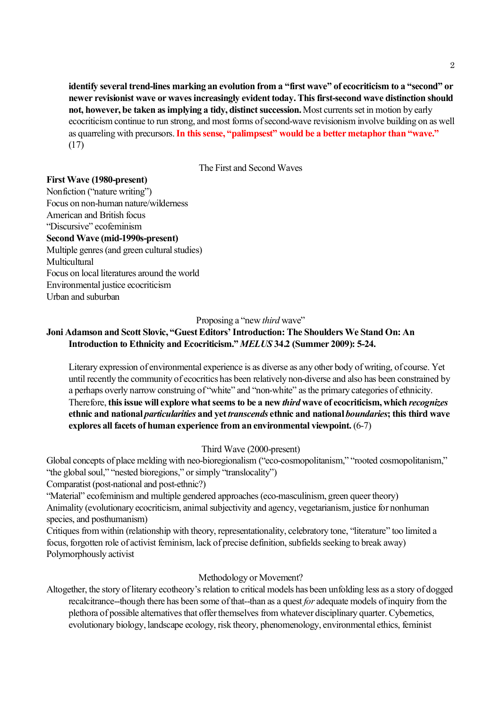**identify several trend-lines marking an evolution from a "first wave" of ecocriticism to a "second" or newer revisionist wave or waves increasingly evident today. This first-second wave distinction should not, however, be taken as implying a tidy, distinct succession.** Most currents set in motion by early ecocriticism continue to run strong, and most forms of second-wave revisionism involve building on as well as quarreling with precursors. **In this sense, "palimpsest" would be a better metaphor than "wave."**  (17)

The First and Second Waves

### **First Wave (1980-present)**

Nonfiction ("nature writing") Focus on non-human nature/wilderness American and British focus "Discursive" ecofeminism **Second Wave (mid-1990s-present)** Multiple genres (and green cultural studies) Multicultural Focus on local literatures around the world Environmental justice ecocriticism Urban and suburban

Proposing a "new *third* wave"

# **Joni Adamson and Scott Slovic, "Guest Editors' Introduction: The Shoulders We Stand On: An Introduction to Ethnicity and Ecocriticism."** *MELUS* **34.2 (Summer 2009): 5-24.**

Literary expression of environmental experience is as diverse as any other body of writing, of course. Yet until recently the community of ecocritics has been relatively non-diverse and also has been constrained by a perhaps overly narrow construing of "white" and "non-white" as the primary categories of ethnicity. Therefore, **this issue will explore what seems to be a new** *third* **wave of ecocriticism, which** *recognizes* **ethnic and national** *particularities* **and yet** *transcends* **ethnic and national** *boundaries***; this third wave explores all facets of human experience from an environmental viewpoint.** (6-7)

### Third Wave (2000-present)

Global concepts of place melding with neo-bioregionalism ("eco-cosmopolitanism," "rooted cosmopolitanism," "the global soul," "nested bioregions," or simply "translocality")

Comparatist (post-national and post-ethnic?)

"Material" ecofeminism and multiple gendered approaches (eco-masculinism, green queer theory) Animality (evolutionary ecocriticism, animal subjectivity and agency, vegetarianism, justice for nonhuman species, and posthumanism)

Critiques from within (relationship with theory, representationality, celebratory tone, "literature" too limited a focus, forgotten role of activist feminism, lack of precise definition, subfields seeking to break away) Polymorphously activist

### Methodology or Movement?

Altogether, the story of literary ecotheory's relation to critical models has been unfolding less as a story of dogged recalcitrance--though there has been some of that--than as a quest *for* adequate models of inquiry from the plethora of possible alternatives that offer themselves from whatever disciplinary quarter. Cybernetics, evolutionary biology, landscape ecology, risk theory, phenomenology, environmental ethics, feminist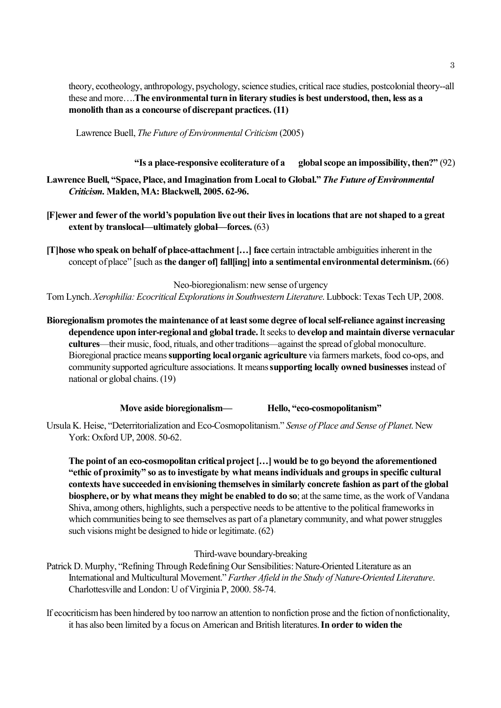theory, ecotheology, anthropology, psychology, science studies, critical race studies, postcolonial theory--all these and more….**The environmental turn in literary studies is best understood, then, less as a monolith than as a concourse of discrepant practices. (11)**

Lawrence Buell, *The Future of Environmental Criticism* (2005)

**"Is a place-responsive ecoliterature of a global scope an impossibility, then?"** (92)

- **Lawrence Buell, "Space, Place, and Imagination from Local to Global."** *The Future of Environmental Criticism.* **Malden, MA: Blackwell, 2005. 62-96.**
- **[F]ewer and fewer of the world's population live out their lives in locations that are not shaped to a great extent by translocal—ultimately global—forces.** (63)
- **[T]hose who speak on behalf of place-attachment […] face** certain intractable ambiguities inherent in the concept of place" [such as **the danger of] fall[ing] into a sentimental environmental determinism.** (66)

Neo-bioregionalism: new sense of urgency

Tom Lynch. *Xerophilia: Ecocritical Explorations in Southwestern Literature*. Lubbock: Texas Tech UP, 2008.

**Bioregionalism promotes the maintenance of at least some degree of local self-reliance against increasing dependence upon inter-regional and global trade.** It seeks to **develop and maintain diverse vernacular cultures**—their music, food, rituals, and other traditions—against the spread of global monoculture. Bioregional practice means **supporting local organic agriculture** via farmers markets, food co-ops, and community supported agriculture associations. It means **supporting locally owned businesses** instead of national or global chains. (19)

**Move aside bioregionalism— Hello, "eco-cosmopolitanism"**

Ursula K. Heise, "Deterritorialization and Eco-Cosmopolitanism." *Sense of Place and Sense of Planet*. New York: Oxford UP, 2008. 50-62.

**The point of an eco-cosmopolitan critical project […] would be to go beyond the aforementioned "ethic of proximity" so as to investigate by what means individuals and groups in specific cultural contexts have succeeded in envisioning themselves in similarly concrete fashion as part of the global biosphere, or by what means they might be enabled to do so**; at the same time, as the work of Vandana Shiva, among others, highlights, such a perspective needs to be attentive to the political frameworks in which communities being to see themselves as part of a planetary community, and what power struggles such visions might be designed to hide or legitimate. (62)

#### Third-wave boundary-breaking

- Patrick D. Murphy, "Refining Through Redefining Our Sensibilities: Nature-Oriented Literature as an International and Multicultural Movement." *Farther Afield in the Study of Nature-Oriented Literature*. Charlottesville and London: U of Virginia P, 2000. 58-74.
- If ecocriticism has been hindered by too narrow an attention to nonfiction prose and the fiction of nonfictionality, it has also been limited by a focus on American and British literatures. **In order to widen the**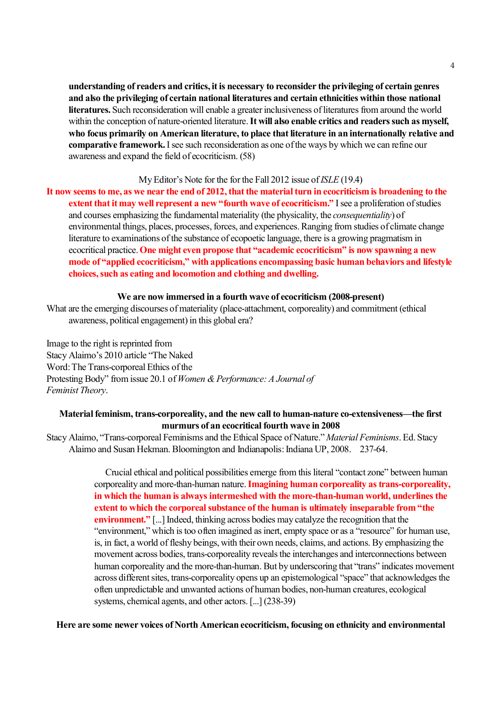**understanding of readers and critics, it is necessary to reconsider the privileging of certain genres and also the privileging of certain national literatures and certain ethnicities within those national literatures.** Such reconsideration will enable a greater inclusiveness of literatures from around the world within the conception of nature-oriented literature. **It will also enable critics and readers such as myself, who focus primarily on American literature, to place that literature in an internationally relative and comparative framework.** I see such reconsideration as one of the ways by which we can refine our awareness and expand the field of ecocriticism. (58)

#### My Editor's Note for the for the Fall 2012 issue of *ISLE* (19.4)

**It now seems to me, as we near the end of 2012, that the material turn in ecocriticism is broadening to the extent that it may well represent a new "fourth wave of ecocriticism."** I see a proliferation of studies and courses emphasizing the fundamental materiality (the physicality, the *consequentiality*) of environmental things, places, processes, forces, and experiences. Ranging from studies of climate change literature to examinations of the substance of ecopoetic language, there is a growing pragmatism in ecocritical practice. **One might even propose that "academic ecocriticism" is now spawning a new mode of "applied ecocriticism," with applications encompassing basic human behaviors and lifestyle choices, such as eating and locomotion and clothing and dwelling.** 

#### **We are now immersed in a fourth wave of ecocriticism (2008-present)**

What are the emerging discourses of materiality (place-attachment, corporeality) and commitment (ethical awareness, political engagement) in this global era?

Image to the right is reprinted from Stacy Alaimo's 2010 article "The Naked Word: The Trans-corporeal Ethics of the Protesting Body" from issue 20.1 of *Women & Performance: A Journal of Feminist Theory*.

## **Material feminism, trans-corporeality, and the new call to human-nature co-extensiveness—the first murmurs of an ecocritical fourth wave in 2008**

Stacy Alaimo, "Trans-corporeal Feminisms and the Ethical Space of Nature." *Material Feminisms*. Ed. Stacy Alaimo and Susan Hekman. Bloomington and Indianapolis: Indiana UP, 2008. 237-64.

> Crucial ethical and political possibilities emerge from this literal "contact zone" between human corporeality and more-than-human nature. **Imagining human corporeality as trans-corporeality, in which the human is always intermeshed with the more-than-human world, underlines the extent to which the corporeal substance of the human is ultimately inseparable from "the environment."** [...] Indeed, thinking across bodies may catalyze the recognition that the "environment," which is too often imagined as inert, empty space or as a "resource" for human use, is, in fact, a world of fleshy beings, with their own needs, claims, and actions. By emphasizing the movement across bodies, trans-corporeality reveals the interchanges and interconnections between human corporeality and the more-than-human. But by underscoring that "trans" indicates movement across different sites, trans-corporeality opens up an epistemological "space" that acknowledges the often unpredictable and unwanted actions of human bodies, non-human creatures, ecological systems, chemical agents, and other actors. [...] (238-39)

**Here are some newer voices of North American ecocriticism, focusing on ethnicity and environmental**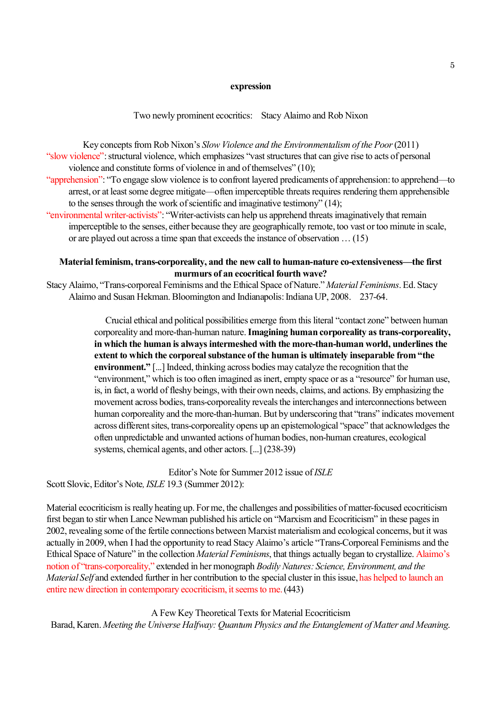#### **expression**

Two newly prominent ecocritics: Stacy Alaimo and Rob Nixon

Key concepts from Rob Nixon's *Slow Violence and the Environmentalism of the Poor*(2011) "slow violence": structural violence, which emphasizes "vast structures that can give rise to acts of personal violence and constitute forms of violence in and of themselves" (10);

- "apprehension": "To engage slow violence is to confront layered predicaments of apprehension: to apprehend—to arrest, or at least some degree mitigate—often imperceptible threats requires rendering them apprehensible to the senses through the work of scientific and imaginative testimony" (14);
- "environmental writer-activists": "Writer-activists can help us apprehend threats imaginatively that remain imperceptible to the senses, either because they are geographically remote, too vast or too minute in scale, or are played out across a time span that exceeds the instance of observation … (15)

### **Material feminism, trans-corporeality, and the new call to human-nature co-extensiveness—the first murmurs of an ecocritical fourth wave?**

Stacy Alaimo, "Trans-corporeal Feminisms and the Ethical Space of Nature." *Material Feminisms*. Ed. Stacy Alaimo and Susan Hekman. Bloomington and Indianapolis: Indiana UP, 2008. 237-64.

> Crucial ethical and political possibilities emerge from this literal "contact zone" between human corporeality and more-than-human nature. **Imagining human corporeality as trans-corporeality, in which the human is always intermeshed with the more-than-human world, underlines the extent to which the corporeal substance of the human is ultimately inseparable from "the environment."** [...] Indeed, thinking across bodies may catalyze the recognition that the "environment," which is too often imagined as inert, empty space or as a "resource" for human use, is, in fact, a world of fleshy beings, with their own needs, claims, and actions. By emphasizing the movement across bodies, trans-corporeality reveals the interchanges and interconnections between human corporeality and the more-than-human. But by underscoring that "trans" indicates movement across different sites, trans-corporeality opens up an epistemological "space" that acknowledges the often unpredictable and unwanted actions of human bodies, non-human creatures, ecological systems, chemical agents, and other actors. [...] (238-39)

Editor's Note for Summer 2012 issue of *ISLE* Scott Slovic, Editor's Note*, ISLE* 19.3 (Summer 2012):

Material ecocriticism is really heating up. For me, the challenges and possibilities of matter-focused ecocriticism first began to stir when Lance Newman published his article on "Marxism and Ecocriticism" in these pages in 2002, revealing some of the fertile connections between Marxist materialism and ecological concerns, but it was actually in 2009, when I had the opportunity to read Stacy Alaimo's article "Trans-Corporeal Feminisms and the Ethical Space of Nature" in the collection *Material Feminisms*, that things actually began to crystallize. Alaimo's notion of "trans-corporeality," extended in her monograph *Bodily Natures: Science, Environment, and the Material Self* and extended further in her contribution to the special cluster in this issue, has helped to launch an entire new direction in contemporary ecocriticism, it seems to me. (443)

A Few Key Theoretical Texts for Material Ecocriticism Barad, Karen. *Meeting the Universe Halfway: Quantum Physics and the Entanglement of Matter and Meaning*.